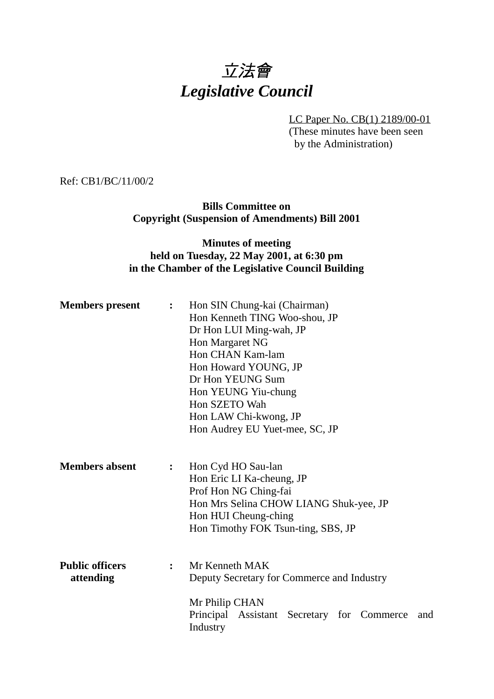# 立法會 *Legislative Council*

LC Paper No. CB(1) 2189/00-01 (These minutes have been seen by the Administration)

Ref: CB1/BC/11/00/2

**Bills Committee on Copyright (Suspension of Amendments) Bill 2001**

## **Minutes of meeting held on Tuesday, 22 May 2001, at 6:30 pm in the Chamber of the Legislative Council Building**

| <b>Members</b> present              | $\ddot{\cdot}$ | Hon SIN Chung-kai (Chairman)<br>Hon Kenneth TING Woo-shou, JP<br>Dr Hon LUI Ming-wah, JP<br>Hon Margaret NG<br>Hon CHAN Kam-lam<br>Hon Howard YOUNG, JP<br>Dr Hon YEUNG Sum<br>Hon YEUNG Yiu-chung<br>Hon SZETO Wah<br>Hon LAW Chi-kwong, JP<br>Hon Audrey EU Yuet-mee, SC, JP |
|-------------------------------------|----------------|--------------------------------------------------------------------------------------------------------------------------------------------------------------------------------------------------------------------------------------------------------------------------------|
| <b>Members absent</b>               | $\ddot{\cdot}$ | Hon Cyd HO Sau-lan<br>Hon Eric LI Ka-cheung, JP<br>Prof Hon NG Ching-fai<br>Hon Mrs Selina CHOW LIANG Shuk-yee, JP<br>Hon HUI Cheung-ching<br>Hon Timothy FOK Tsun-ting, SBS, JP                                                                                               |
| <b>Public officers</b><br>attending | $\ddot{\cdot}$ | Mr Kenneth MAK<br>Deputy Secretary for Commerce and Industry<br>Mr Philip CHAN<br>Principal Assistant<br>Secretary for Commerce<br>and<br>Industry                                                                                                                             |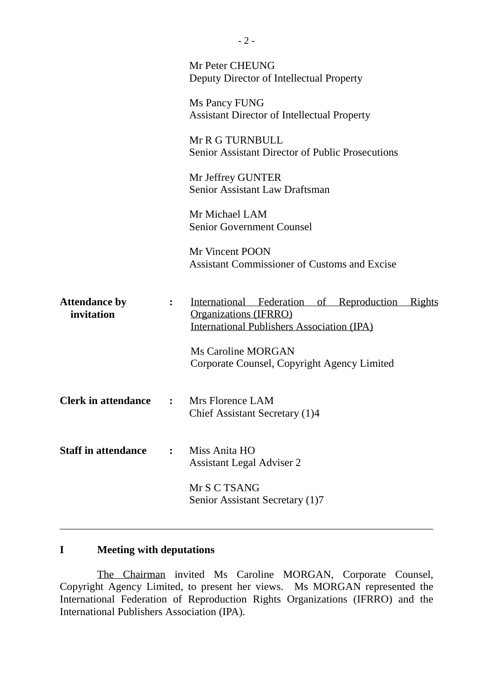|                                    |                | Mr Peter CHEUNG<br>Deputy Director of Intellectual Property                                                                                    |
|------------------------------------|----------------|------------------------------------------------------------------------------------------------------------------------------------------------|
|                                    |                | Ms Pancy FUNG<br><b>Assistant Director of Intellectual Property</b>                                                                            |
|                                    |                | Mr R G TURNBULL<br><b>Senior Assistant Director of Public Prosecutions</b>                                                                     |
|                                    |                | Mr Jeffrey GUNTER<br>Senior Assistant Law Draftsman                                                                                            |
|                                    |                | Mr Michael LAM<br><b>Senior Government Counsel</b>                                                                                             |
|                                    |                | Mr Vincent POON<br><b>Assistant Commissioner of Customs and Excise</b>                                                                         |
| <b>Attendance by</b><br>invitation | $\ddot{\cdot}$ | International Federation of Reproduction<br><u>Rights</u><br><b>Organizations (IFRRO)</b><br><b>International Publishers Association (IPA)</b> |
|                                    |                | <b>Ms Caroline MORGAN</b><br>Corporate Counsel, Copyright Agency Limited                                                                       |
| <b>Clerk in attendance</b>         | $\mathbf{L}$   | Mrs Florence LAM<br>Chief Assistant Secretary (1)4                                                                                             |
| <b>Staff in attendance</b>         | $\ddot{\cdot}$ | Miss Anita HO<br><b>Assistant Legal Adviser 2</b>                                                                                              |
|                                    |                | Mr S C TSANG<br>Senior Assistant Secretary (1)7                                                                                                |
|                                    |                |                                                                                                                                                |

## **I Meeting with deputations**

ı

The Chairman invited Ms Caroline MORGAN, Corporate Counsel, Copyright Agency Limited, to present her views. Ms MORGAN represented the International Federation of Reproduction Rights Organizations (IFRRO) and the International Publishers Association (IPA).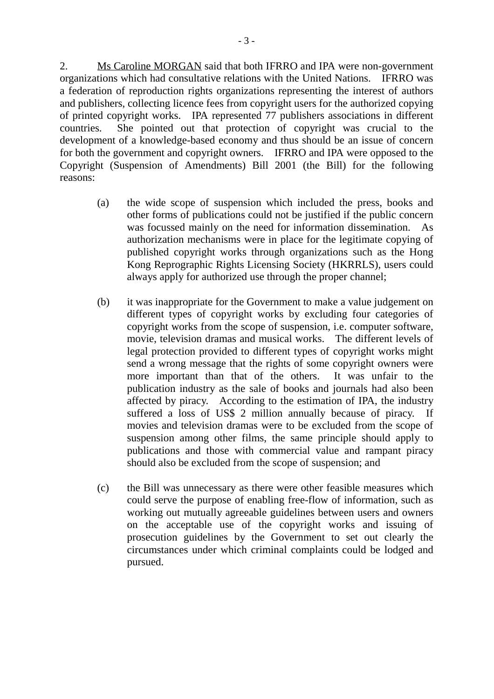2. Ms Caroline MORGAN said that both IFRRO and IPA were non-government organizations which had consultative relations with the United Nations. IFRRO was a federation of reproduction rights organizations representing the interest of authors and publishers, collecting licence fees from copyright users for the authorized copying of printed copyright works. IPA represented 77 publishers associations in different countries. She pointed out that protection of copyright was crucial to the development of a knowledge-based economy and thus should be an issue of concern for both the government and copyright owners. IFRRO and IPA were opposed to the Copyright (Suspension of Amendments) Bill 2001 (the Bill) for the following reasons:

- (a) the wide scope of suspension which included the press, books and other forms of publications could not be justified if the public concern was focussed mainly on the need for information dissemination. As authorization mechanisms were in place for the legitimate copying of published copyright works through organizations such as the Hong Kong Reprographic Rights Licensing Society (HKRRLS), users could always apply for authorized use through the proper channel;
- (b) it was inappropriate for the Government to make a value judgement on different types of copyright works by excluding four categories of copyright works from the scope of suspension, i.e. computer software, movie, television dramas and musical works. The different levels of legal protection provided to different types of copyright works might send a wrong message that the rights of some copyright owners were more important than that of the others. It was unfair to the publication industry as the sale of books and journals had also been affected by piracy. According to the estimation of IPA, the industry suffered a loss of US\$ 2 million annually because of piracy. If movies and television dramas were to be excluded from the scope of suspension among other films, the same principle should apply to publications and those with commercial value and rampant piracy should also be excluded from the scope of suspension; and
- (c) the Bill was unnecessary as there were other feasible measures which could serve the purpose of enabling free-flow of information, such as working out mutually agreeable guidelines between users and owners on the acceptable use of the copyright works and issuing of prosecution guidelines by the Government to set out clearly the circumstances under which criminal complaints could be lodged and pursued.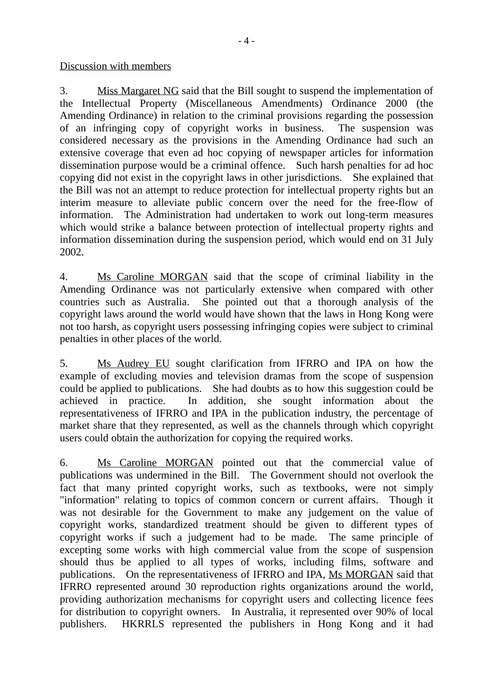Discussion with members

3. Miss Margaret NG said that the Bill sought to suspend the implementation of the Intellectual Property (Miscellaneous Amendments) Ordinance 2000 (the Amending Ordinance) in relation to the criminal provisions regarding the possession of an infringing copy of copyright works in business. The suspension was considered necessary as the provisions in the Amending Ordinance had such an extensive coverage that even ad hoc copying of newspaper articles for information dissemination purpose would be a criminal offence. Such harsh penalties for ad hoc copying did not exist in the copyright laws in other jurisdictions. She explained that the Bill was not an attempt to reduce protection for intellectual property rights but an interim measure to alleviate public concern over the need for the free-flow of information. The Administration had undertaken to work out long-term measures which would strike a balance between protection of intellectual property rights and information dissemination during the suspension period, which would end on 31 July 2002.

4. Ms Caroline MORGAN said that the scope of criminal liability in the Amending Ordinance was not particularly extensive when compared with other countries such as Australia. She pointed out that a thorough analysis of the copyright laws around the world would have shown that the laws in Hong Kong were not too harsh, as copyright users possessing infringing copies were subject to criminal penalties in other places of the world.

5. Ms Audrey EU sought clarification from IFRRO and IPA on how the example of excluding movies and television dramas from the scope of suspension could be applied to publications. She had doubts as to how this suggestion could be achieved in practice. In addition, she sought information about the representativeness of IFRRO and IPA in the publication industry, the percentage of market share that they represented, as well as the channels through which copyright users could obtain the authorization for copying the required works.

6. Ms Caroline MORGAN pointed out that the commercial value of publications was undermined in the Bill. The Government should not overlook the fact that many printed copyright works, such as textbooks, were not simply "information" relating to topics of common concern or current affairs. Though it was not desirable for the Government to make any judgement on the value of copyright works, standardized treatment should be given to different types of copyright works if such a judgement had to be made. The same principle of excepting some works with high commercial value from the scope of suspension should thus be applied to all types of works, including films, software and publications. On the representativeness of IFRRO and IPA, Ms MORGAN said that IFRRO represented around 30 reproduction rights organizations around the world, providing authorization mechanisms for copyright users and collecting licence fees for distribution to copyright owners. In Australia, it represented over 90% of local publishers. HKRRLS represented the publishers in Hong Kong and it had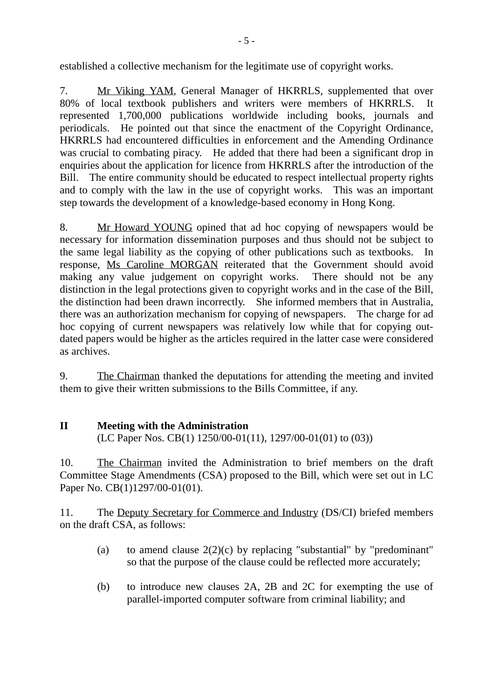established a collective mechanism for the legitimate use of copyright works.

7. Mr Viking YAM, General Manager of HKRRLS, supplemented that over 80% of local textbook publishers and writers were members of HKRRLS. It represented 1,700,000 publications worldwide including books, journals and periodicals. He pointed out that since the enactment of the Copyright Ordinance, HKRRLS had encountered difficulties in enforcement and the Amending Ordinance was crucial to combating piracy. He added that there had been a significant drop in enquiries about the application for licence from HKRRLS after the introduction of the Bill. The entire community should be educated to respect intellectual property rights and to comply with the law in the use of copyright works. This was an important step towards the development of a knowledge-based economy in Hong Kong.

8. Mr Howard YOUNG opined that ad hoc copying of newspapers would be necessary for information dissemination purposes and thus should not be subject to the same legal liability as the copying of other publications such as textbooks. In response, Ms Caroline MORGAN reiterated that the Government should avoid making any value judgement on copyright works. There should not be any distinction in the legal protections given to copyright works and in the case of the Bill, the distinction had been drawn incorrectly. She informed members that in Australia, there was an authorization mechanism for copying of newspapers. The charge for ad hoc copying of current newspapers was relatively low while that for copying outdated papers would be higher as the articles required in the latter case were considered as archives.

9. The Chairman thanked the deputations for attending the meeting and invited them to give their written submissions to the Bills Committee, if any.

### **II Meeting with the Administration** (LC Paper Nos. CB(1) 1250/00-01(11), 1297/00-01(01) to (03))

10. The Chairman invited the Administration to brief members on the draft Committee Stage Amendments (CSA) proposed to the Bill, which were set out in LC Paper No. CB(1)1297/00-01(01).

11. The Deputy Secretary for Commerce and Industry (DS/CI) briefed members on the draft CSA, as follows:

- (a) to amend clause  $2(2)(c)$  by replacing "substantial" by "predominant" so that the purpose of the clause could be reflected more accurately;
- (b) to introduce new clauses 2A, 2B and 2C for exempting the use of parallel-imported computer software from criminal liability; and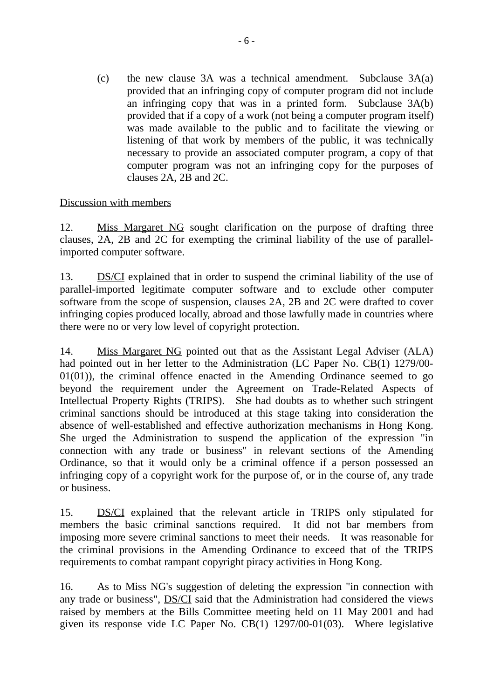(c) the new clause 3A was a technical amendment. Subclause 3A(a) provided that an infringing copy of computer program did not include an infringing copy that was in a printed form. Subclause 3A(b) provided that if a copy of a work (not being a computer program itself) was made available to the public and to facilitate the viewing or listening of that work by members of the public, it was technically necessary to provide an associated computer program, a copy of that computer program was not an infringing copy for the purposes of clauses 2A, 2B and 2C.

## Discussion with members

12. Miss Margaret NG sought clarification on the purpose of drafting three clauses, 2A, 2B and 2C for exempting the criminal liability of the use of parallelimported computer software.

13. DS/CI explained that in order to suspend the criminal liability of the use of parallel-imported legitimate computer software and to exclude other computer software from the scope of suspension, clauses 2A, 2B and 2C were drafted to cover infringing copies produced locally, abroad and those lawfully made in countries where there were no or very low level of copyright protection.

14. Miss Margaret NG pointed out that as the Assistant Legal Adviser (ALA) had pointed out in her letter to the Administration (LC Paper No. CB(1) 1279/00-  $01(01)$ , the criminal offence enacted in the Amending Ordinance seemed to go beyond the requirement under the Agreement on Trade-Related Aspects of Intellectual Property Rights (TRIPS). She had doubts as to whether such stringent criminal sanctions should be introduced at this stage taking into consideration the absence of well-established and effective authorization mechanisms in Hong Kong. She urged the Administration to suspend the application of the expression "in connection with any trade or business" in relevant sections of the Amending Ordinance, so that it would only be a criminal offence if a person possessed an infringing copy of a copyright work for the purpose of, or in the course of, any trade or business.

15. DS/CI explained that the relevant article in TRIPS only stipulated for members the basic criminal sanctions required. It did not bar members from imposing more severe criminal sanctions to meet their needs. It was reasonable for the criminal provisions in the Amending Ordinance to exceed that of the TRIPS requirements to combat rampant copyright piracy activities in Hong Kong.

16. As to Miss NG's suggestion of deleting the expression "in connection with any trade or business", DS/CI said that the Administration had considered the views raised by members at the Bills Committee meeting held on 11 May 2001 and had given its response vide LC Paper No. CB(1) 1297/00-01(03). Where legislative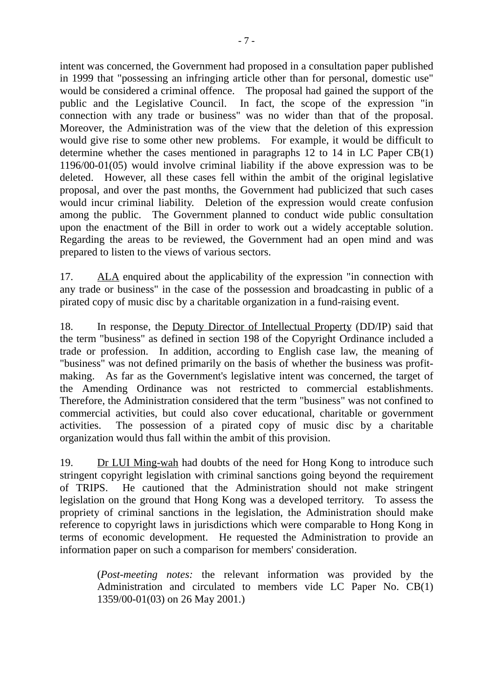intent was concerned, the Government had proposed in a consultation paper published in 1999 that "possessing an infringing article other than for personal, domestic use" would be considered a criminal offence. The proposal had gained the support of the public and the Legislative Council. In fact, the scope of the expression "in connection with any trade or business" was no wider than that of the proposal. Moreover, the Administration was of the view that the deletion of this expression would give rise to some other new problems. For example, it would be difficult to determine whether the cases mentioned in paragraphs 12 to 14 in LC Paper CB(1) 1196/00-01(05) would involve criminal liability if the above expression was to be deleted. However, all these cases fell within the ambit of the original legislative proposal, and over the past months, the Government had publicized that such cases would incur criminal liability. Deletion of the expression would create confusion among the public. The Government planned to conduct wide public consultation upon the enactment of the Bill in order to work out a widely acceptable solution. Regarding the areas to be reviewed, the Government had an open mind and was prepared to listen to the views of various sectors.

17. ALA enquired about the applicability of the expression "in connection with any trade or business" in the case of the possession and broadcasting in public of a pirated copy of music disc by a charitable organization in a fund-raising event.

18. In response, the Deputy Director of Intellectual Property (DD/IP) said that the term "business" as defined in section 198 of the Copyright Ordinance included a trade or profession. In addition, according to English case law, the meaning of "business" was not defined primarily on the basis of whether the business was profitmaking. As far as the Government's legislative intent was concerned, the target of the Amending Ordinance was not restricted to commercial establishments. Therefore, the Administration considered that the term "business" was not confined to commercial activities, but could also cover educational, charitable or government activities. The possession of a pirated copy of music disc by a charitable organization would thus fall within the ambit of this provision.

19. Dr LUI Ming-wah had doubts of the need for Hong Kong to introduce such stringent copyright legislation with criminal sanctions going beyond the requirement of TRIPS. He cautioned that the Administration should not make stringent legislation on the ground that Hong Kong was a developed territory. To assess the propriety of criminal sanctions in the legislation, the Administration should make reference to copyright laws in jurisdictions which were comparable to Hong Kong in terms of economic development. He requested the Administration to provide an information paper on such a comparison for members' consideration.

> (*Post-meeting notes:* the relevant information was provided by the Administration and circulated to members vide LC Paper No. CB(1) 1359/00-01(03) on 26 May 2001.)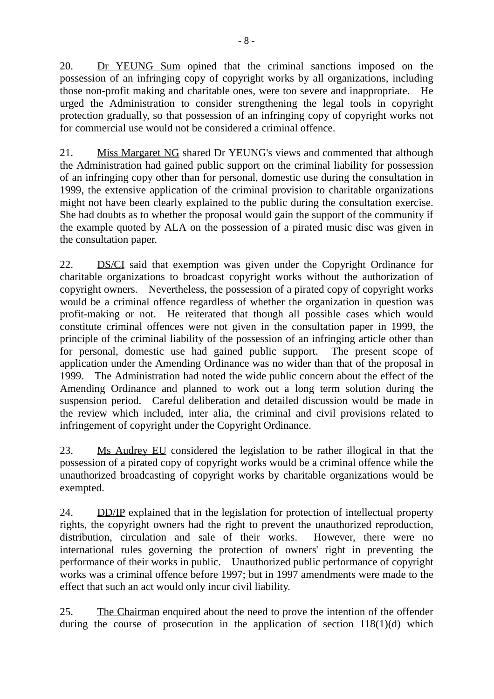20. Dr YEUNG Sum opined that the criminal sanctions imposed on the possession of an infringing copy of copyright works by all organizations, including those non-profit making and charitable ones, were too severe and inappropriate. He urged the Administration to consider strengthening the legal tools in copyright protection gradually, so that possession of an infringing copy of copyright works not for commercial use would not be considered a criminal offence.

21. Miss Margaret NG shared Dr YEUNG's views and commented that although the Administration had gained public support on the criminal liability for possession of an infringing copy other than for personal, domestic use during the consultation in 1999, the extensive application of the criminal provision to charitable organizations might not have been clearly explained to the public during the consultation exercise. She had doubts as to whether the proposal would gain the support of the community if the example quoted by ALA on the possession of a pirated music disc was given in the consultation paper.

22. DS/CI said that exemption was given under the Copyright Ordinance for charitable organizations to broadcast copyright works without the authorization of copyright owners. Nevertheless, the possession of a pirated copy of copyright works would be a criminal offence regardless of whether the organization in question was profit-making or not. He reiterated that though all possible cases which would constitute criminal offences were not given in the consultation paper in 1999, the principle of the criminal liability of the possession of an infringing article other than for personal, domestic use had gained public support. The present scope of application under the Amending Ordinance was no wider than that of the proposal in 1999. The Administration had noted the wide public concern about the effect of the Amending Ordinance and planned to work out a long term solution during the suspension period. Careful deliberation and detailed discussion would be made in the review which included, inter alia, the criminal and civil provisions related to infringement of copyright under the Copyright Ordinance.

23. Ms Audrey EU considered the legislation to be rather illogical in that the possession of a pirated copy of copyright works would be a criminal offence while the unauthorized broadcasting of copyright works by charitable organizations would be exempted.

24. DD/IP explained that in the legislation for protection of intellectual property rights, the copyright owners had the right to prevent the unauthorized reproduction, distribution, circulation and sale of their works. However, there were no international rules governing the protection of owners' right in preventing the performance of their works in public. Unauthorized public performance of copyright works was a criminal offence before 1997; but in 1997 amendments were made to the effect that such an act would only incur civil liability.

25. The Chairman enquired about the need to prove the intention of the offender during the course of prosecution in the application of section  $118(1)(d)$  which